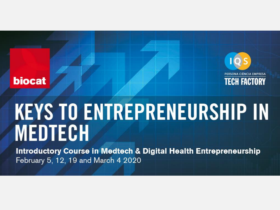

# **biocat**

# **KEYS TO ENTREPRENEURSHIP IN** MEDTECH

**Introductory Course in Medtech & Digital Health Entrepreneurship** February 5, 12, 19 and March 4 2020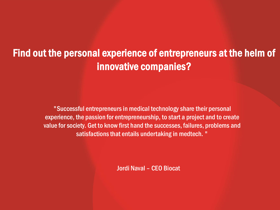# Find out the personal experience of entrepreneurs at the helm of innovative companies?

"Successful entrepreneurs in medical technology share their personal experience, the passion for entrepreneurship, to start a project and to create value for society. Get to know first hand the successes, failures, problems and satisfactions that entails undertaking in medtech. "

Jordi Naval – CEO Biocat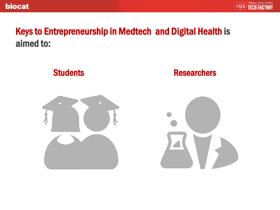

# Keys to Entrepreneurship in Medtech and Digital Health is aimed to:

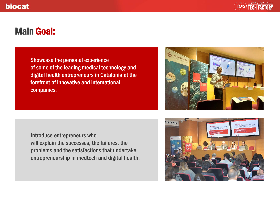

# Main Goal:

Showcase the personal experience of some of the leading medical technology and digital health entrepreneurs in Catalonia at the forefront of innovative and international companies.

Introduce entrepreneurs who will explain the successes, the failures, the problems and the satisfactions that undertake entrepreneurship in medtech and digital health.



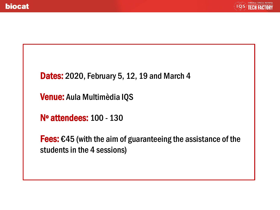

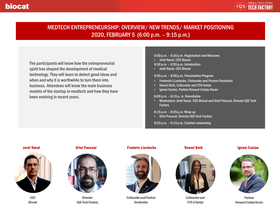### MEDTECH ENTREPRENEURSHIP: OVERVIEW/ NEW TRENDS/ MARKET POSITIONING 2020, FEBRUARY 5 (6:00 p.m. – 9:15 p.m.)

The participants will know how the entrepreneurial spirit has shaped the development of medical technology. They will learn to detect good ideas and when and why it is worthwhile to turn them into business. Attendees will know the main business models of the startup in medtech and how they have been evolving in recent years.

### 6:00 p.m. – 6:30 p.m. Registration and Welcome

- Jordi Naval, CEO Biocat
- 6:30 p.m. 6:55 p.m. Introduction
- Jordi Naval, CEO Biocat

#### 6:55 p.m. – 8:00 p.m. Presentation Program

- Frederich LLordachs, Cofounder and Partner Doctoralia
- Noemí Balà, Cofounder and CTO Aortyx
- Ignasi Costas, Partner Rosaud Costas Duran

#### 8:00 p.m. – 8:15 p. m. Roundtable

• Moderators: Jordi Naval, CEO Biocat and Oriol Pascual, Director IQS Tech **Factory** 

#### 8:15 p.m. – 8:25 p.m. Wrap up

• Oriol Pascual, Director IQS Tech Factory

8:25 p.m. – 9:15 p.m. Cocktail networking

### Jordi Naval



CEO **Biocat** 

### Oriol Pascual



**Director** IQS Tech Factory

### Frederic Llordachs



Cofounder and Partner Doctoralia

### Noemí Balà



Cofounder and CTO d'Aortyx

### Ignasi Costas



Partner Rosaud Costas Duran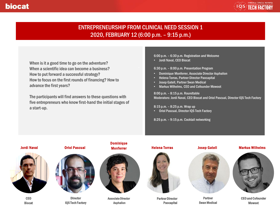

### ENTREPRENEURSHIP FROM CLINICAL NEED SESSION 1 2020, FEBRUARY 12 (6:00 p.m. – 9:15 p.m.)

When is it a good time to go on the adventure? When a scientific idea can become a business? How to put forward a successful strategy? How to focus on the first rounds of financing? How to advance the first years?

The participants will find answers to these questions with five entrepreneurs who know first-hand the initial stages of a start-up.

6:00 p.m. – 6:30 p.m. Registration and Welcome

• Jordi Naval, CEO Biocat

6:30 p.m. – 8:00 p.m. Presentation Program

- Dominique Monferrer, Associate Director Asphalion
- Helena Torras, Partner Director Paocapital
- Josep Gatell, Partner Swan Medical
- Markus Wilhelms, CEO and Cofounder Mowoot

8:00 p.m. – 8:15 p.m. Roundtable Moderators: Jordi Naval, CEO Biocat and Oriol Pascual, Director IQS Tech Factory

#### 8:15 p.m. – 8:25 p.m. Wrap up

• Oriol Pascual, Director IQS Tech Factory

8:25 p.m. – 9:15 p.m. Cocktail networking





CEO Biocat

### Oriol Pascual



**Director** IQS Tech Factory

# Dominique



Associate Director Asphalion

### Monferrer **Helena Torras**



Partner Director Paocapital



**Partner** Swan Medical

### Markus Wilhelms



CEO and Cofounder Mowoot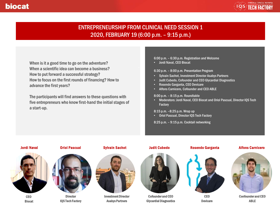

### ENTREPRENEURSHIP FROM CLINICAL NEED SESSION 1 2020, FEBRUARY 19 (6:00 p.m. – 9:15 p.m.)

When is it a good time to go on the adventure? When a scientific idea can become a business? How to put forward a successful strategy? How to focus on the first rounds of financing? How to advance the first years?

The participants will find answers to these questions with five entrepreneurs who know first-hand the initial stages of a start-up.

6:00 p.m. – 6:30 p.m. Registration and Welcome

• Jordi Naval, CEO Biocat

6:30 p.m. – 8:00 p.m. Presentation Program

- Sylvain Sachot, Investment Director Asabys Partners
- Judit Cubedo, Cofounder and CEO Glycardial Diagnostics
- Rosendo Garganta, CEO Devicare
- Alfons Carnicero, Cofounder and CEO ABLE

8:00 p.m. – 8:15 p.m. Roundtable

• Moderators: Jordi Naval, CEO Biocat and Oriol Pascual, Director IQS Tech **Factory** 

8:15 p.m. –8:25 p.m. Wrap up

• Oriol Pascual, Director IQS Tech Factory

8:25 p.m. – 9:15 p.m. Cocktail networking





CEO Biocat



**Director** IQS Tech Factory





Investment Director Asabys Partners

### Sylvain Sachot Judit Cubedo



Cofounder and CEO Glycardial Diagnostics



### Alfons Carnicero



CEO Devicare



Confounder and CEO ABLE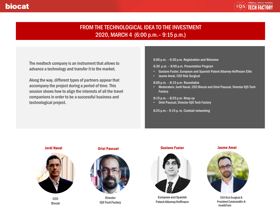

### FROM THE TECHNOLOGICAL IDEA TO THE INVESTMENT 2020, MARCH 4 (6:00 p.m.– 9:15 p.m.)

The medtech company is an instrument that allows to advance a technology and transfer it to the market.

Along the way, different types of partners appear that accompany the project during a period of time. This session shows how to align the interests of all the travel companions in order to be a successful business and technological project.

6:00 p.m. – 6:30 p.m. Registration and Welcome

6:30 p.m. – 8:00 p.m. Presentation Program

- Gustavo Fuster, European and Spanish Patent Attorney Hoffmann Eitle
- Jaume Amat, CEO Rob Surgical

8:00 p.m. – 8:15 p.m- Roundtable

• Moderators: Jordi Naval, CEO Biocat and Oriol Pascual, Director IQS Tech **Factory** 

8:15 p.m. – 8:25 p.m. Wrap up

• Oriol Pascual, Director IQS Tech Factory

8:25 p.m.– 9:15 p. m. Cocktail networking





CEO Biocat





**Director** IQS Tech Factory

### Gustavo Fuster



European and Spanish Patent Attorney Hoffmann

### Jaume Amat



CEO Rob Surgical& President CataloniaBio& HealthTech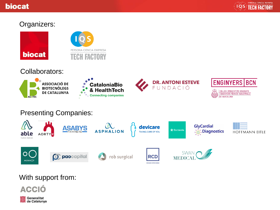## **biocat**



## Organizers:



Collaborators:



# Presenting Companies:



# With support from: